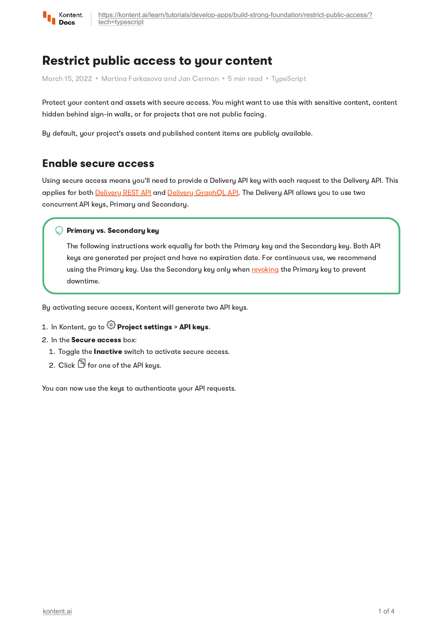

# Restrict public access to your content

March 15, 2022 • Martina Farkasova and Jan Cerman • 5 min read • TupeScript

Protect your content and assets with secure access. You might want to use this with sensitive content, content hidden behind sign-in walls, or for projects that are not public facing.

By default, your project's assets and published content items are publicly available.

## Enable secure access

Using secure access means you'll need to provide a Delivery API key with each request to the Delivery API. This applies for both [Delivery](https://kontent.ai/learn/reference/delivery-api/) REST API and Delivery [GraphQL](https://kontent.ai/learn/reference/delivery-graphql-api/) API. The Delivery API allows you to use two concurrent API keys, Primary and Secondary.

### $\bigcirc$  Primary vs. Secondary key

The following instructions work equally for both the Primary key and the Secondary key. Both API keys are generated per project and have no expiration date. For continuous use, we recommend using the Primary key. Use the Secondary key only when [revoking](https://kontent.ai/learn/tutorials/develop-apps/build-strong-foundation/restrict-public-access/#a-revoke-the-api-keys) the Primary key to prevent downtime.

By activating secure access, Kontent will generate two API keys.

## 1. In Kontent, go to  $\widehat{\mathbb{G}}$  Project settings > API keys.

#### 2. In the Secure access box:

- 1. Toggle the Inactive switch to activate secure access.
- 2. Click  $\mathbb G$  for one of the API keus.

You can now use the keys to authenticate your API requests.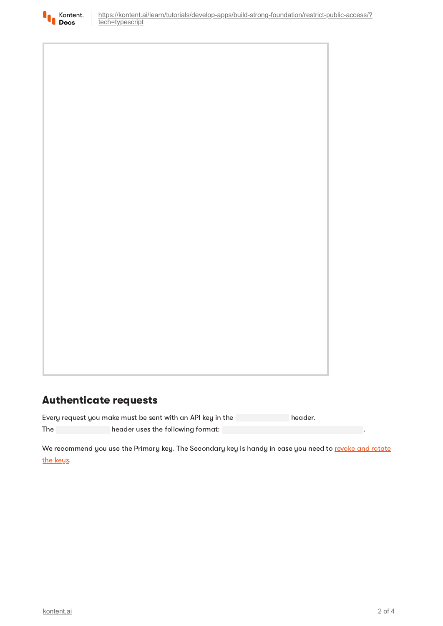

# Authenticate requests

Every request you make must be sent with an API key in the header. The **header uses the following format:** 

We [recommend](#page-3-0) you use the Primary key. The Secondary key is handy in case you need to revoke and rotate the keys.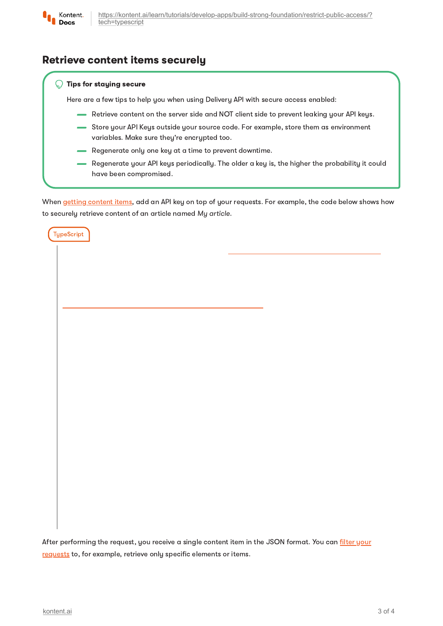

**TypeScript** 

[https://kontent.ai/learn/tutorials/develop-apps/build-strong-foundation/restrict-public-access/?](https://kontent.ai/learn/tutorials/develop-apps/build-strong-foundation/restrict-public-access/?tech=typescript) tech=typescript

## Retrieve content items securely

#### Tips for staying secure Q

Here are a few tips to help you when using Delivery API with secure access enabled:

- Retrieve content on the server side and NOT client side to prevent leaking your API keys.
- Store your API Keys outside your source code. For example, store them as environment variables. Make sure they're encrypted too.
- Regenerate only one key at a time to prevent downtime.
- Regenerate your API keys periodically. The older a key is, the higher the probability it could have been compromised.

When getting [content](https://kontent.ai/learn/tutorials/develop-apps/get-content/get-content-items/) items, add an API key on top of your requests. For example, the code below shows how to securely retrieve content of an article named My article.

After [performing](https://kontent.ai/learn/tutorials/develop-apps/get-content/filter-content-items-examples/) the request, you receive a single content item in the JSON format. You can filter your requests to, for example, retrieve only specific elements or items.